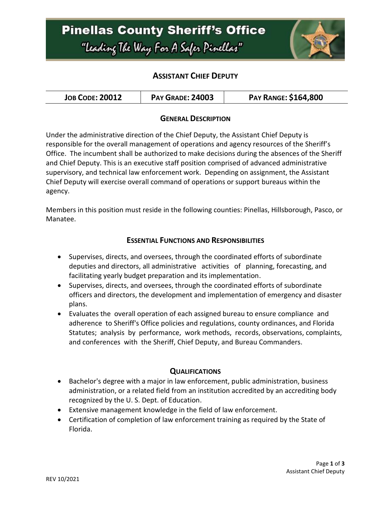

### **ASSISTANT CHIEF DEPUTY**

| <b>JOB CODE: 20012</b> | <b>PAY GRADE: 24003</b> | <b>PAY RANGE: \$164,800</b> |
|------------------------|-------------------------|-----------------------------|
|------------------------|-------------------------|-----------------------------|

#### **GENERAL DESCRIPTION**

Under the administrative direction of the Chief Deputy, the Assistant Chief Deputy is responsible for the overall management of operations and agency resources of the Sheriff's Office. The incumbent shall be authorized to make decisions during the absences of the Sheriff and Chief Deputy. This is an executive staff position comprised of advanced administrative supervisory, and technical law enforcement work. Depending on assignment, the Assistant Chief Deputy will exercise overall command of operations or support bureaus within the agency.

Members in this position must reside in the following counties: Pinellas, Hillsborough, Pasco, or Manatee.

#### **ESSENTIAL FUNCTIONS AND RESPONSIBILITIES**

- Supervises, directs, and oversees, through the coordinated efforts of subordinate deputies and directors, all administrative activities of planning, forecasting, and facilitating yearly budget preparation and its implementation.
- Supervises, directs, and oversees, through the coordinated efforts of subordinate officers and directors, the development and implementation of emergency and disaster plans.
- Evaluates the overall operation of each assigned bureau to ensure compliance and adherence to Sheriff's Office policies and regulations, county ordinances, and Florida Statutes; analysis by performance, work methods, records, observations, complaints, and conferences with the Sheriff, Chief Deputy, and Bureau Commanders.

### **QUALIFICATIONS**

- Bachelor's degree with a major in law enforcement, public administration, business administration, or a related field from an institution accredited by an accrediting body recognized by the U. S. Dept. of Education.
- Extensive management knowledge in the field of law enforcement.
- Certification of completion of law enforcement training as required by the State of Florida.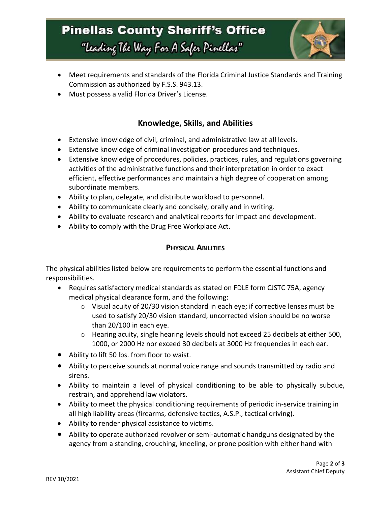# **Pinellas County Sheriff's Office** "Leading The Way For A Safer Pinellar"



- Meet requirements and standards of the Florida Criminal Justice Standards and Training Commission as authorized by F.S.S. 943.13.
- Must possess a valid Florida Driver's License.

## **Knowledge, Skills, and Abilities**

- Extensive knowledge of civil, criminal, and administrative law at all levels.
- Extensive knowledge of criminal investigation procedures and techniques.
- Extensive knowledge of procedures, policies, practices, rules, and regulations governing activities of the administrative functions and their interpretation in order to exact efficient, effective performances and maintain a high degree of cooperation among subordinate members.
- Ability to plan, delegate, and distribute workload to personnel.
- Ability to communicate clearly and concisely, orally and in writing.
- Ability to evaluate research and analytical reports for impact and development.
- Ability to comply with the Drug Free Workplace Act.

### **PHYSICAL ABILITIES**

The physical abilities listed below are requirements to perform the essential functions and responsibilities.

- Requires satisfactory medical standards as stated on FDLE form CJSTC 75A, agency medical physical clearance form, and the following:
	- $\circ$  Visual acuity of 20/30 vision standard in each eye; if corrective lenses must be used to satisfy 20/30 vision standard, uncorrected vision should be no worse than 20/100 in each eye.
	- o Hearing acuity, single hearing levels should not exceed 25 decibels at either 500, 1000, or 2000 Hz nor exceed 30 decibels at 3000 Hz frequencies in each ear.
- Ability to lift 50 lbs. from floor to waist.
- Ability to perceive sounds at normal voice range and sounds transmitted by radio and sirens.
- Ability to maintain a level of physical conditioning to be able to physically subdue, restrain, and apprehend law violators.
- Ability to meet the physical conditioning requirements of periodic in-service training in all high liability areas (firearms, defensive tactics, A.S.P., tactical driving).
- Ability to render physical assistance to victims.
- Ability to operate authorized revolver or semi-automatic handguns designated by the agency from a standing, crouching, kneeling, or prone position with either hand with